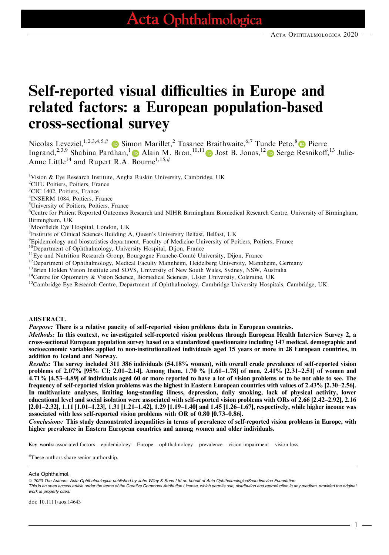# Self-reported visual difficulties in Europe and related factors: a European population-based cross-sectional survey

Nicolas Leveziel,  $^{1,2,3,4,5,\#}$  in Simon Marillet,  $^2$  Tasanee Braithwaite,  $^{6,7}$  Tunde Peto,  $^8$  in Pierre Ingrand,<sup>2,3,9</sup> Shahina Pardhan,<sup>[1](https://orcid.org/0000-0002-7265-931X)</sup> Alain M. Bron,<sup>10,11</sup> D Jost B. Jonas,<sup>1[2](https://orcid.org/0000-0003-2972-5227)</sup> D Serge Resnikoff,<sup>13</sup> Julie-Anne Little<sup>14</sup> and Rupert R.A. Bourne<sup>1,15,#</sup>

<sup>1</sup>Vision & Eye Research Institute, Anglia Ruskin University, Cambridge, UK

2 CHU Poitiers, Poitiers, France

<sup>3</sup>CIC 1402, Poitiers, France

4 INSERM 1084, Poitiers, France

5 University of Poitiers, Poitiers, France

6 Centre for Patient Reported Outcomes Research and NIHR Birmingham Biomedical Research Centre, University of Birmingham, Birmingham, UK

7 Moorfields Eye Hospital, London, UK

8 Institute of Clinical Sciences Building A, Queen's University Belfast, Belfast, UK

<sup>9</sup>Epidemiology and biostatistics department, Faculty of Medicine University of Poitiers, Poitiers, France

 $^{10}$ Department of Ophthalmology, University Hospital, Dijon, France<br> $^{11}$ Eye and Nutrition Research Group, Bourgogne Franche-Comté University, Dijon, France

<sup>12</sup>Department of Ophthalmology, Medical Faculty Mannheim, Heidelberg University, Mannheim, Germany

<sup>13</sup>Brien Holden Vision Institute and SOVS, University of New South Wales, Sydney, NSW, Australia

<sup>14</sup>Centre for Optometry & Vision Science, Biomedical Sciences, Ulster University, Coleraine, UK

<sup>15</sup>Cambridge Eye Research Centre, Department of Ophthalmology, Cambridge University Hospitals, Cambridge, UK

#### ABSTRACT.

Purpose: There is a relative paucity of self-reported vision problems data in European countries.

Methods: In this context, we investigated self-reported vision problems through European Health Interview Survey 2, a cross-sectional European population survey based on a standardized questionnaire including 147 medical, demographic and socioeconomic variables applied to non-institutionalized individuals aged 15 years or more in 28 European countries, in addition to Iceland and Norway.

Results: The survey included 311 386 individuals (54.18% women), with overall crude prevalence of self-reported vision problems of 2.07% [95% CI; 2.01–2.14]. Among them, 1.70 % [1.61–1.78] of men, 2.41% [2.31–2.51] of women and 4.71% [4.53–4.89] of individuals aged 60 or more reported to have a lot of vision problems or to be not able to see. The frequency of self-reported vision problems was the highest in Eastern European countries with values of 2.43% [2.30–2.56]. In multivariate analyses, limiting long-standing illness, depression, daily smoking, lack of physical activity, lower educational level and social isolation were associated with self-reported vision problems with ORs of 2.66 [2.42–2.92], 2.16 [2.01–2.32], 1.11 [1.01–1.23], 1.31 [1.21–1.42], 1.29 [1.19–1.40] and 1.45 [1.26–1.67], respectively, while higher income was associated with less self-reported vision problems with OR of 0.80 [0.73–0.86].

Conclusions: This study demonstrated inequalities in terms of prevalence of self-reported vision problems in Europe, with higher prevalence in Eastern European countries and among women and older individuals.

Key words: associated factors – epidemiology – Europe – ophthalmology – prevalence – vision impairment – vision loss

# These authors share senior authorship.

#### Acta Ophthalmol.

ª 2020 The Authors. Acta Ophthalmologica published by John Wiley & Sons Ltd on behalf of Acta OphthalmologicaScandinavica Foundation

This is an open access article under the terms of the [Creative Commons Attribution](http://creativecommons.org/licenses/by/4.0/) License, which permits use, distribution and reproduction in any medium, provided the original work is properly cited.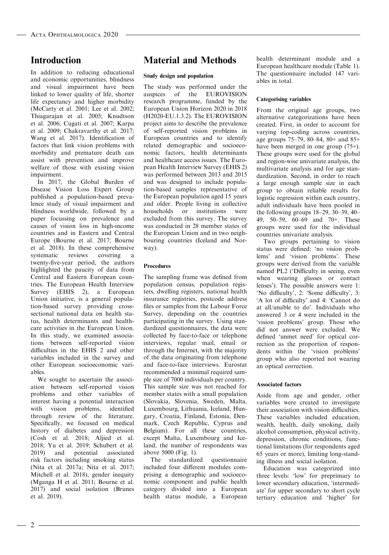# Introduction

In addition to reducing educational and economic opportunities, blindness and visual impairment have been linked to lower quality of life, shorter life expectancy and higher morbidity (McCarty et al. 2001; Lee et al. 2002; Thiagarajan et al. 2005; Knudtson et al. 2006; Cugati et al. 2007; Karpa et al. 2009; Chakravarthy et al. 2017; Wang et al. 2017). Identification of factors that link vision problems with morbidity and premature death can assist with prevention and improve welfare of those with existing vision impairment.

In 2017, the Global Burden of Disease Vision Loss Expert Group published a population-based prevalence study of visual impairment and blindness worldwide, followed by a paper focussing on prevalence and causes of vision loss in high-income countries and in Eastern and Central Europe (Bourne et al. 2017; Bourne et al. 2018). In these comprehensive<br>systematic reviews covering a systematic reviews covering a twenty-five-year period, the authors highlighted the paucity of data from Central and Eastern European countries. The European Health Interview Survey (EHIS 2), a European Union initiative, is a general population-based survey providing crosssectional national data on health status, health determinants and healthcare activities in the European Union. In this study, we examined associations between self-reported vision difficulties in the EHIS 2 and other variables included in the survey and other European socioeconomic variables.

We sought to ascertain the association between self-reported vision problems and other variables of interest having a potential interaction with vision problems, identified through review of the literature. Specifically, we focused on medical history of diabetes and depression (Cosh et al. 2018; Aljied et al. 2018; Yu et al. 2019; Schubert et al. 2019) and potential associated risk factors including smoking status (Nita et al. 2017a; Nita et al. 2017; Mitchell et al. 2018), gender inequity (Mganga H et al. 2011; Bourne et al. 2017) and social isolation (Brunes et al. 2019).

# Material and Methods

#### Study design and population

The study was performed under the auspices of the EUROVISION research programme, funded by the European Union Horizon 2020 in 2018 (H2020-EU.1.3.2). The EUROVISION project aims to describe the prevalence of self-reported vision problems in European countries and to identify related demographic and socioeconomic factors, health determinants and healthcare access issues. The European Health Interview Survey (EHIS 2) was performed between 2013 and 2015 and was designed to include population-based samples representative of the European population aged 15 years and older. People living in collective households or institutions were excluded from this survey. The survey was conducted in 28 member states of the European Union and in two neighbouring countries (Iceland and Norway).

#### Procedures

The sampling frame was defined from population census, population registers, dwelling registers, national health insurance registries, postcode address files or samples from the Labour Force Survey, depending on the countries participating in the survey. Using standardized questionnaires, the data were collected by face-to-face or telephone interviews, regular mail, email or through the Internet, with the majority of the data originating from telephone and face-to-face interviews. Eurostat recommended a minimal required sample size of 7000 individuals per country. This sample size was not reached for member states with a small population (Slovakia, Slovenia, Sweden, Malta, Luxembourg, Lithuania, Iceland, Hungary, Croatia, Finland, Estonia, Denmark, Czech Republic, Cyprus and Belgium). For all these countries, except Malta, Luxembourg and Iceland, the number of respondents was above 5000 (Fig. 1).

The standardized questionnaire included four different modules comprising a demographic and socioeconomic component and public health category divided into a European health status module, a European health determinant module and a European healthcare module (Table 1). The questionnaire included 147 variables in total.

#### Categorising variables

From the original age groups, two alternative categorizations have been created. First, in order to account for varying top-coding across countries, age groups 75–79, 80–84, 80+ and 85+ have been merged in one group (75+). These groups were used for the global and region-wise univariate analysis, the multivariate analysis and for age standardization. Second, in order to reach a large enough sample size in each group to obtain reliable results for logistic regression within each country, adult individuals have been pooled in the following groups 18–29, 30–39, 40– 49, 50–59, 60–69 and 70+. These groups were used for the individual countries univariate analysis.

Two groups pertaining to vision status were defined: 'no vision problems' and 'vision problems'. These groups were derived from the variable named PL2 ('Difficulty in seeing, even when wearing glasses or contact lenses'). The possible answers were 1: 'No difficulty', 2: 'Some difficulty', 3: 'A lot of difficulty' and 4: 'Cannot do at all/unable to do'. Individuals who answered 3 or 4 were included in the 'vision problems' group. Those who did not answer were excluded. We defined 'unmet need' for optical correction as the proportion of respondents within the 'vision problems' group who also reported not wearing an optical correction.

#### Associated factors

Aside from age and gender, other variables were created to investigate their association with vision difficulties. These variables included education, wealth, health, daily smoking, daily alcohol consumption, physical activity, depression, chronic conditions, functional limitations (for respondents aged 65 years or more), limiting long-standing illness and social isolation.

Education was categorized into three levels: 'low' for preprimary to lower secondary education, 'intermediate' for upper secondary to short cycle tertiary education and 'higher' for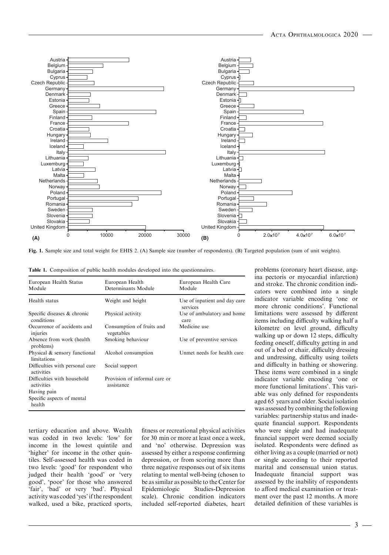

Fig. 1. Sample size and total weight for EHIS 2. (A) Sample size (number of respondents). (B) Targeted population (sum of unit weights).

| European Health Status<br>Module              | European Health<br>Determinants Module      | European Health Care<br>Module            |
|-----------------------------------------------|---------------------------------------------|-------------------------------------------|
| Health status                                 | Weight and height                           | Use of inpatient and day care<br>services |
| Specific diseases & chronic<br>conditions     | Physical activity                           | Use of ambulatory and home<br>care        |
| Occurrence of accidents and<br>injuries       | Consumption of fruits and<br>vegetables     | Medicine use                              |
| Absence from work (health)<br>problems)       | Smoking behaviour                           | Use of preventive services                |
| Physical & sensory functional<br>limitations  | Alcohol consumption                         | Unmet needs for health care               |
| Difficulties with personal care<br>activities | Social support                              |                                           |
| Difficulties with household<br>activities     | Provision of informal care or<br>assistance |                                           |
| Having pain                                   |                                             |                                           |
| Specific aspects of mental<br>health          |                                             |                                           |

tertiary education and above. Wealth was coded in two levels: 'low' for income in the lowest quintile and 'higher' for income in the other quintiles. Self-assessed health was coded in two levels: 'good' for respondent who judged their health 'good' or 'very good', 'poor' for those who answered 'fair', 'bad' or very 'bad'. Physical activity was coded 'yes' if the respondent walked, used a bike, practiced sports, fitness or recreational physical activities for 30 min or more at least once a week, and 'no' otherwise. Depression was assessed by either a response confirming depression, or from scoring more than three negative responses out of six items relating to mental well-being (chosen to be as similar as possible to the Center for Epidemiologic Studies-Depression scale). Chronic condition indicators included self-reported diabetes, heart

problems (coronary heart disease, angina pectoris or myocardial infarction) and stroke. The chronic condition indicators were combined into a single indicator variable encoding 'one or more chronic conditions'. Functional limitations were assessed by different items including difficulty walking half a kilometre on level ground, difficulty walking up or down 12 steps, difficulty feeding oneself, difficulty getting in and out of a bed or chair, difficulty dressing and undressing, difficulty using toilets and difficulty in bathing or showering. These items were combined in a single indicator variable encoding 'one or more functional limitations'. This variable was only defined for respondents aged 65 years and older. Social isolation was assessed by combining the following variables: partnership status and inadequate financial support. Respondents who were single and had inadequate financial support were deemed socially isolated. Respondents were defined as either living as a couple (married or not) or single according to their reported marital and consensual union status. Inadequate financial support was assessed by the inability of respondents to afford medical examination or treatment over the past 12 months. A more detailed definition of these variables is

3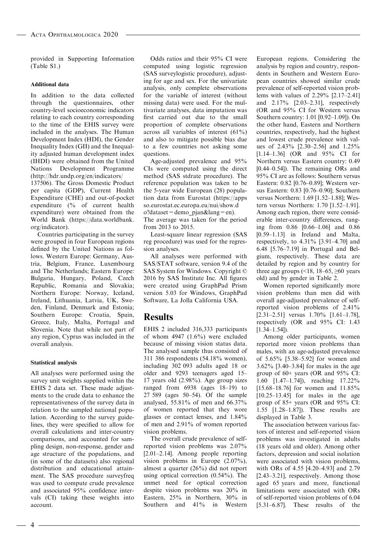provided in Supporting Information (Table S1.)

#### Additional data

In addition to the data collected through the questionnaires, other country-level socioeconomic indicators relating to each country corresponding to the time of the EHIS survey were included in the analyses. The Human Development Index (HDI), the Gender Inequality Index (GII) and the Inequality adjusted human development index (IHDI) were obtained from the United Nations Development Programme [\(http://hdr.undp.org/en/indicators/](http://hdr.undp.org/en/indicators/137506) [137506](http://hdr.undp.org/en/indicators/137506)). The Gross Domestic Product

per capita (GDP), Current Health Expenditure (CHE) and out-of-pocket expenditure (% of current health expenditure) were obtained from the World Bank [\(https://data.worldbank.](https://data.worldbank.org/indicator) [org/indicator](https://data.worldbank.org/indicator)).

Countries participating in the survey were grouped in four European regions defined by the United Nations as follows. Western Europe: Germany, Austria, Belgium, France, Luxembourg and The Netherlands; Eastern Europe: Bulgaria, Hungary, Poland, Czech Republic, Romania and Slovakia; Northern Europe: Norway, Iceland, Ireland, Lithuania, Latvia, UK, Sweden, Finland, Denmark and Estonia; Southern Europe: Croatia, Spain, Greece, Italy, Malta, Portugal and Slovenia. Note that while not part of any region, Cyprus was included in the overall analysis.

#### Statistical analysis

All analyses were performed using the survey unit weights supplied within the EHIS 2 data set. These made adjustments to the crude data to enhance the representativeness of the survey data in relation to the sampled national population. According to the survey guidelines, they were specified to allow for overall calculations and inter-country comparisons, and accounted for sampling design, non-response, gender and age structure of the populations, and (in some of the datasets) also regional distribution and educational attainment. The SAS procedure surveyfreq was used to compute crude prevalence and associated 95% confidence intervals (CI) taking these weights into account.

Odds ratios and their 95% CI were computed using logistic regression (SAS surveylogistic procedure), adjusting for age and sex. For the univariate analysis, only complete observations for the variable of interest (without missing data) were used. For the multivariate analyses, data imputation was first carried out due to the small proportion of complete observations across all variables of interest (61%) and also to mitigate possible bias due to a few countries not asking some questions.

Age-adjusted prevalence and 95% CIs were computed using the direct method (SAS stdrate procedure). The reference population was taken to be the 5-year wide European (28) population data from Eurostat [\(https://apps](https://appsso.eurostat.ec.europa.eu/nui/show.do?dataset=demo_pjan&lang=en) [so.eurostat.ec.europa.eu/nui/show.d](https://appsso.eurostat.ec.europa.eu/nui/show.do?dataset=demo_pjan&lang=en)  $o$ ?dataset=demo\_pjan&lang=en). The average was taken for the period from 2013 to 2015.

Least-square linear regression (SAS reg procedure) was used for the regression analyses.

All analyses were performed with SAS/STAT software, version 9.4 of the SAS System for Windows. Copyright © 2016 by SAS Institute Inc. All figures were created using GraphPad Prism version 5.03 for Windows, GraphPad Software, La Jolla California USA.

## **Results**

EHIS 2 included 316,333 participants of whom  $4947$   $(1.6\%)$  were excluded because of missing vision status data. The analysed sample thus consisted of 311 386 respondents (54.18% women), including 302 093 adults aged 18 or older and 9293 teenagers aged 15– 17 years old (2.98%). Age group sizes ranged from 6938 (ages 18–19) to 27 589 (ages 50–54). Of the sample analysed, 55.81% of men and 66.37% of women reported that they wore glasses or contact lenses, and 1.84% of men and 2.91% of women reported vision problems.

The overall crude prevalence of selfreported vision problems was 2.07% [2.01–2.14]. Among people reporting vision problems in Europe (2.07%), almost a quarter (26%) did not report using optical correction (0.54%). The unmet need for optical correction despite vision problems was 20% in Eastern, 25% in Northern, 30% in Southern and 41% in Western

European regions. Considering the analysis by region and country, respondents in Southern and Western European countries showed similar crude prevalence of self-reported vision problems with values of 2.29% [2.17–2.41] and 2.17% [2.03–2.31], respectively (OR and 95% CI for Western versus Southern country: 1.01 [0.92–1.09]). On the other hand, Eastern and Northern countries, respectively, had the highest and lowest crude prevalence with values of 2.43% [2.30–2.56] and 1.25% [1.14–1.36] (OR and 95% CI for Northern versus Eastern country: 0.49 [0.44–0.54]). The remaining ORs and 95% CI are as follows: Southern versus Eastern: 0.82 [0.76–0.89]; Western versus Eastern: 0.83 [0.76–0.90]; Southern versus Northern: 1.69 [1.52–1.88]; Western versus Northern: 1.70 [1.52–1.91]. Among each region, there were considerable inter-country differences, ranging from 0.86 [0.66–1.06] and 0.86 [0.59–1.13] in Ireland and Malta, respectively, to  $4.31\%$  [3.91–4.70] and 6.48 [5.76–7.19] in Portugal and Belgium, respectively. These data are detailed by region and by country for three age groups  $($  <18, 18–65,  $\geq 60$  years old) and by gender in Table 2.

Women reported significantly more vision problems than men did with overall age-adjusted prevalence of selfreported vision problems of 2.41% [2.31–2.51] versus 1.70% [1.61–1.78], respectively (OR and 95% CI: 1.43  $[1.34-1.54]$ .

Among older participants, women reported more vision problems than males, with an age-adjusted prevalence of 5.65% [5.38–5.92] for women and 3.62% [3.40–3.84] for males in the age group of 60+ years (OR and 95% CI: 1.60 [1.47–1.74]), reaching 17.22% [15.68–18.76] for women and 11.85% [10.25–13.45] for males in the age group of 85+ years (OR and 95% CI: 1.55 [1.28–1.87]). These results are displayed in Table 3.

The association between various factors of interest and self-reported vision problems was investigated in adults (18 years old and older). Among other factors, depression and social isolation were associated with vision problems, with ORs of 4.55 [4.20–4.93] and 2.79 [2.43–3.21], respectively. Among those aged 65 years and more, functional limitations were associated with ORs of self-reported vision problems of 6.04 [5.31–6.87]. These results of the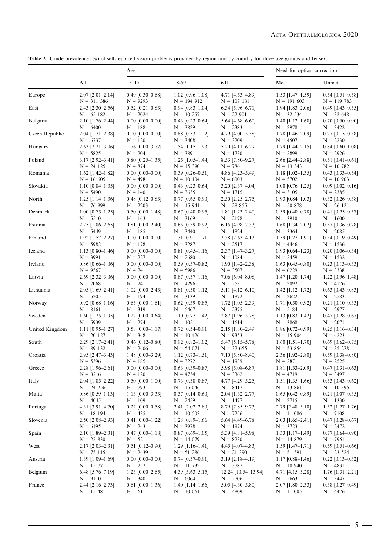|                |                                         | Age                              |                                    |                                   | Need for optical correction        |                                    |
|----------------|-----------------------------------------|----------------------------------|------------------------------------|-----------------------------------|------------------------------------|------------------------------------|
|                | All                                     | $15 - 17$                        | 18-59                              | $60+$                             | Met                                | Unmet                              |
| Europe         | $2.07$ [ $2.01 - 2.14$ ]                | $0.49$ [0.30-0.68]               | $1.02$ [0.96-1.08]                 | 4.71 [4.53-4.89]                  | $1.53$ [1.47-1.59]                 | $0.54$ [0.51-0.58]                 |
|                | $N = 311386$                            | $N = 9293$                       | $N = 194912$                       | $N = 107181$                      | $N = 191603$                       | $N = 119783$                       |
| East           | $2.43$ [ $2.30 - 2.56$ ]<br>$N = 65182$ | $0.52$ [0.21-0.83]<br>$N = 2024$ | $0.94$ [0.83-1.04]<br>$N = 40 257$ | $6.34$ [5.96-6.71]<br>$N = 22901$ | $1.94$ [1.83-2.06]<br>$N = 32 534$ | $0.49$ [0.43-0.55]<br>$N = 32,648$ |
| Bulgaria       | $2.10$ [1.76-2.44]                      | $0.00$ [0.00-0.00]               | $0.43$ [0.23-0.64]                 | 5.64 [4.68-6.60]                  | $1.40$ [1.12-1.68]                 | $0.70$ [0.50-0.90]                 |
|                | $N = 6400$                              | $N = 188$                        | $N = 3829$                         | $N = 2383$                        | $N = 2978$                         | $N = 3422$                         |
| Czech Republic | $2.04$ [1.71-2.38]                      | $0.00$ [0.00-0.00]               | $0.88$ [0.53-1.22]                 | 4.79 [4.00-5.58]                  | $1.78$ [1.46-2.09]                 | $0.27$ [0.15-0.38]                 |
| Hungary        | $N = 6737$<br>$2.63$ [ $2.21 - 3.06$ ]  | $N = 120$<br>$1.76$ [0.00-3.77]  | $N = 3408$<br>$1.54$ [1.15-1.93]   | $N = 3209$<br>$5.20$ [4.11-6.29]  | $N = 4507$<br>$1.79$ [1.44-2.15]   | $N = 2230$<br>$0.84$ [0.60-1.08]   |
|                | $N = 5825$                              | $N = 204$                        | $N = 3891$                         | $N = 1730$                        | $N = 2899$                         | $N = 2926$                         |
| Poland         | $3.17$ [2.92-3.41]                      | $0.80$ [0.25-1.35]               | $1.25$ [1.05-1.44]                 | 8.53 [7.80-9.27]                  | 2.66 [2.44-2.88]                   | $0.51$ [0.41-0.61]                 |
|                | $N = 24 125$                            | $N = 874$                        | $N = 15,390$                       | $N = 7861$                        | $N = 13343$                        | $N = 10,782$                       |
| Romania        | $1.62$ [1.42–1.82]<br>$N = 16605$       | $0.00$ [0.00-0.00]<br>$N = 498$  | $0.39$ [0.26-0.51]<br>$N = 10 104$ | 4.86 [4.23-5.49]<br>$N = 6003$    | $1.18$ [1.02-1.35]<br>$N = 5702$   | $0.43$ [0.33-0.54]<br>$N = 10903$  |
| Slovakia       | $1.10$ [0.84–1.35]                      | $0.00$ [0.00-0.00]               | $0.43$ [0.23-0.64]                 | 3.20 [2.37-4.04]                  | $1.00$ [0.76-1.25]                 | $0.09$ [0.02-0.16]                 |
|                | $N = 5490$                              | $N = 140$                        | $N = 3635$                         | $N = 1715$                        | $N = 3105$                         | $N = 2385$                         |
| North          | $1.25$ [1.14–1.36]                      | $0.48$ [0.12-0.83]               | $0.77$ [0.65-0.90]                 | $2.50$ [ $2.25 - 2.75$ ]          | $0.93$ [0.84-1.03]                 | $0.32$ [0.26-0.38]                 |
|                | $N = 76999$                             | $N = 2203$                       | $N = 45941$                        | $N = 28855$                       | $N = 50 878$                       | $N = 26 121$                       |
| Denmark        | $1.00$ [0.75–1.25]                      | $0.50$ [0.00-1.48]               | $0.67$ [0.40-0.95]                 | $1.81$ [1.23-2.40]                | $0.59$ [0.40-0.78]                 | $0.41$ [0.25-0.57]                 |
| Estonia        | $N = 5510$<br>$2.25$ [1.86-2.65]        | $N = 163$<br>$0.81$ [0.00-2.40]  | $N = 3169$<br>$0.65$ [0.39-0.92]   | $N = 2178$<br>$6.15$ [4.98-7.33]  | $N = 3910$<br>$1.68$ [1.34-2.02]   | $N = 1600$<br>$0.57$ [0.36-0.78]   |
|                | $N = 5449$                              | $N = 185$                        | $N = 3440$                         | $N = 1824$                        | $N = 3364$                         | $N = 2085$                         |
| Finland        | $1.92$ [1.57-2.27]                      | $0.00$ [0.00-0.00]               | $1.31$ [0.91-1.71]                 | $3.38$ [2.63-4.13]                | $1.59$ [1.27-1.91]                 | $0.34$ [0.19-0.49]                 |
|                | $N = 5982$                              | $N = 178$                        | $N = 3287$                         | $N = 2517$                        | $N = 4446$                         | $N = 1536$                         |
| Iceland        | $1.13$ [0.80-1.46]                      | $0.00$ [0.00-0.00]               | $0.81$ [0.45-1.16]                 | $2.37$ [1.47-3.27]                | $0.93$ [0.64-1.23]                 | $0.20$ [0.06-0.34]                 |
|                | $N = 3991$                              | $N = 227$                        | $N = 2680$                         | $N = 1084$                        | $N = 2459$                         | $N = 1532$<br>$0.23$ [0.13-0.33]   |
| Ireland        | $0.86$ [0.66-1.06]<br>$N = 9567$        | $0.00$ [0.00-0.00]<br>$N = 74$   | $0.59$ [0.37-0.82]<br>$N = 5986$   | $1.90$ [1.42-2.38]<br>$N = 3507$  | $0.63$ [0.45-0.80]<br>$N = 6229$   | $N = 3338$                         |
| Latvia         | $2.69$ [ $2.32-3.06$ ]                  | $0.00$ [0.00-0.00]               | $0.87$ [0.57-1.16]                 | $7.06$ [6.04-8.08]                | $1.47$ [1.20-1.74]                 | $1.22$ [0.96-1.48]                 |
|                | $N = 7068$                              | $N = 241$                        | $N = 4296$                         | $N = 2531$                        | $N = 2892$                         | $N = 4176$                         |
| Lithuania      | $2.05$ [1.69-2.41]                      | $1.02$ [0.00-2.43]               | $0.81$ [0.50-1.12]                 | $5.11$ [4.12-6.10]                | $1.42$ [1.12-1.72]                 | $0.63$ [0.43-0.83]                 |
| Norway         | $N = 5205$<br>$0.92$ [0.68-1.16]        | $N = 194$<br>$0.65$ [0.00-1.61]  | $N = 3139$<br>$0.62$ [0.39-0.85]   | $N = 1872$<br>$1.72$ [1.05-2.39]  | $N = 2622$<br>$0.71$ [0.50-0.92]   | $N = 2583$<br>$0.21$ [0.10-0.33]   |
|                | $N = 8161$                              | $N = 319$                        | $N = 5467$                         | $N = 2375$                        | $N = 5184$                         | $N = 2977$                         |
| Sweden         | $1.60$ [1.25-1.95]                      | $0.22$ [0.00-0.64]               | $1.10$ [0.77–1.42]                 | 2.87 [1.96-3.78]                  | $1.13$ [0.83-1.42]                 | $0.47$ [0.28-0.67]                 |
|                | $N = 5939$                              | $N = 274$                        | $N = 4051$                         | $N = 1614$                        | $N = 3868$                         | $N = 2071$                         |
| United Kingdom | $1.11$ [0.95-1.27]                      | $0.58$ [0.00-1.17]               | $0.72$ [0.54–0.91]                 | $2.15$ [1.80-2.49]                | $0.86$ [0.72-0.99]                 | $0.25$ [0.16-0.34]                 |
| South          | $N = 20$ 127<br>$2.29$ [2.17-2.41]      | $N = 348$<br>$0.46$ [0.12-0.80]  | $N = 10$ 426<br>$0.92$ [0.82-1.02] | $N = 9353$<br>5.47 [5.15-5.78]    | $N = 15904$<br>$1.60$ [1.51-1.70]  | $N = 4223$<br>$0.69$ [0.62-0.75]   |
|                | $N = 89132$                             | $N = 2406$                       | $N = 54071$                        | $N = 32 655$                      | $N = 53854$                        | $N = 35 278$                       |
| Croatia        | 2.95 [2.47-3.43]                        | 1.48 [0.00-3.29]                 | $1.12$ [0.73-1.51]                 | 7.10 [5.80-8.40]                  | 2.36 [1.92-2.80]                   | $0.59$ [0.38-0.80]                 |
|                | $N = 5396$                              | $N = 185$                        | $N = 3272$                         | $N = 1939$                        | $N = 2871$                         | $N = 2525$                         |
| Greece         | $2.28$ [1.96-2.61]                      | $0.00$ [0.00-0.00]               | $0.63$ [0.39-0.87]                 | 5.98 [5.08-6.87]                  | $1.81$ [1.53-2.09]                 | $0.47$ [0.31-0.63]                 |
| Italy          | $N = 8216$<br>$2.04$ [1.85-2.22]        | $N = 120$<br>$0.50$ [0.00-1.00]  | $N = 4734$<br>$0.73$ [0.58-0.87]   | $N = 3362$<br>4.77 [4.29-5.25]    | $N = 4719$<br>$1.51$ [1.35-1.66]   | $N = 3497$<br>$0.53$ [0.43-0.62]   |
|                | $N = 24 256$                            | $N = 793$                        | $N = 15046$                        | $N = 8417$                        | $N = 13,861$                       | $N = 10$ 395                       |
| Malta          | $0.86$ [0.59-1.13]                      | $1.13$ [0.00-3.33]               | $0.37$ [0.14–0.60]                 | $2.04$ [1.32-2.77]                | $0.65$ [0.42-0.89]                 | $0.21$ [0.07-0.35]                 |
|                | $N = 4045$                              | $N = 109$                        | $N = 2459$                         | $N = 1477$                        | $N = 2715$                         | $N = 1330$                         |
| Portugal       | 4.31 [3.91-4.70]                        | $0.22$ [0.00-0.58]               | $2.41$ [ $2.02 - 2.80$ ]           | 8.79 [7.85-9.73]                  | $2.79$ [ $2.48 - 3.10$ ]           | $1.52$ [1.27-1.76]                 |
| Slovenia       | $N = 18194$                             | $N = 435$                        | $N = 10,503$<br>$1.28$ [0.89-1.66] | $N = 7256$                        | $N = 11086$                        | $N = 7108$                         |
|                | $2.50$ [ $2.08 - 2.93$ ]<br>$N = 6195$  | $0.41$ [0.00-1.22]<br>$N = 243$  | $N = 3978$                         | 5.64 [4.49-6.78]<br>$N = 1974$    | $2.03$ [1.65-2.41]<br>$N = 3723$   | $0.47$ [0.28-0.67]<br>$N = 2472$   |
| Spain          | 2.10 [1.89-2.31]                        | $0.47$ [0.00-1.18]               | $0.87$ [0.69-1.05]                 | 5.39 [4.81-5.98]                  | $1.33$ [1.17-1.49]                 | $0.77$ [0.64-0.90]                 |
|                | $N = 22830$                             | $N = 521$                        | $N = 14079$                        | $N = 8230$                        | $N = 14879$                        | $N = 7951$                         |
| West           | $2.17$ [2.03-2.31]                      | $0.51$ [0.12-0.90]               | $1.29$ [1.16-1.41]                 | 4.45 [4.07-4.83]                  | $1.59$ [1.47-1.71]                 | $0.59$ [0.51-0.66]                 |
|                | $N = 75115$                             | $N = 2439$                       | $N = 51286$                        | $N = 21390$                       | $N = 51 591$                       | $N = 23,524$                       |
| Austria        | $1.39$ [1.09-1.69]<br>$N = 15 771$      | $0.00$ [0.00–0.00]<br>$N = 252$  | $0.74$ [0.57-0.91]<br>$N = 11 732$ | $3.19$ [2.18-4.19]<br>$N = 3787$  | $1.17$ [0.88-1.46]<br>$N = 10940$  | $0.22$ [0.13-0.32]<br>$N = 4831$   |
| Belgium        | 6.48 [5.76-7.19]                        | $1.23$ [0.00-2.65]               | $4.39$ [3.63-5.15]                 | 12.24 [10.54–13.94]               | 4.71 [4.15-5.28]                   | $1.76$ [1.31-2.21]                 |
|                | $N = 9110$                              | $N = 340$                        | $N = 6064$                         | $N = 2706$                        | $N = 5663$                         | $N = 3447$                         |
| France         | $2.44$ [2.16-2.73]                      | $0.61$ [0.00-1.36]               | $1.40$ [1.14–1.66]                 | $5.05$ [4.30-5.80]                | $2.07$ [1.80-2.33]                 | $0.38$ [0.27-0.49]                 |
|                | $N = 15481$                             | $N = 611$                        | $N = 10061$                        | $N = 4809$                        | $N = 11005$                        | $N = 4476$                         |

Table 2. Crude prevalence (%) of self-reported vision problems provided by region and by country for three age groups and by sex.

 $\frac{1}{5}$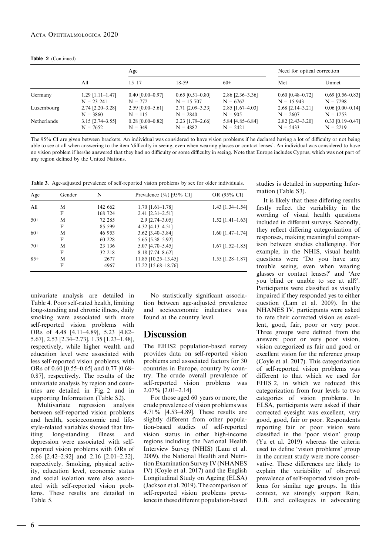|  |  | <b>Table 2</b> (Continued) |
|--|--|----------------------------|
|--|--|----------------------------|

|             |                          | Age                |                          |                          | Need for optical correction |                    |
|-------------|--------------------------|--------------------|--------------------------|--------------------------|-----------------------------|--------------------|
|             | All                      | $15 - 17$          | $18 - 59$                | $60+$                    | Met                         | Unmet              |
| Germany     | $1.29$ [1.11-1.47]       | $0.40$ [0.00-0.97] | $0.65$ [0.51-0.80]       | $2.86$ [ $2.36 - 3.36$ ] | $0.60$ [0.48–0.72]          | $0.69$ [0.56–0.83] |
|             | $N = 23241$              | $N = 772$          | $N = 15,707$             | $N = 6762$               | $N = 15943$                 | $N = 7298$         |
| Luxembourg  | $2.74$ [ $2.20 - 3.28$ ] | $2.59$ [0.00-5.61] | $2.71$ [ $2.09 - 3.33$ ] | $2.85$ [1.67-4.03]       | $2.68$ [2.14-3.21]          | $0.06$ [0.00-0.14] |
|             | $N = 3860$               | $N = 115$          | $N = 2840$               | $N = 905$                | $N = 2607$                  | $N = 1253$         |
| Netherlands | $3.15$ [2.74–3.55]       | $0.28$ [0.00-0.82] | $2.23$ [1.79-2.66]       | 5.84 [4.85-6.84]         | $2.82$ [ $2.43 - 3.20$ ]    | $0.33$ [0.19-0.47] |
|             | $N = 7652$               | $N = 349$          | $N = 4882$               | $N = 2421$               | $N = 5433$                  | $N = 2219$         |

The 95% CI are given between brackets. An individual was considered to have vision problems if he declared having a lot of difficulty or not being able to see at all when answering to the item 'difficulty in seeing, even when wearing glasses or contact lenses'. An individual was considered to have no vision problem if he/she answered that they had no difficulty or some difficulty in seeing. Note that Europe includes Cyprus, which was not part of any region defined by the United Nations.

Table 3. Age-adjusted prevalence of self-reported vision problems by sex for older individuals.

| Age    | Gender | N       | Prevalence $(\%)$ [95% CI] | OR (95% CI)        |
|--------|--------|---------|----------------------------|--------------------|
| All    | M      | 142 662 | $1.70$ [1.61-1.78]         | $1.43$ [1.34–1.54] |
|        | F      | 168 724 | $2.41$ [ $2.31 - 2.51$ ]   |                    |
| $50+$  | M      | 72 285  | $2.9$ [ $2.74 - 3.05$ ]    | $1.52$ [1.41-1.63] |
|        | F      | 85 599  | $4.32$ [4.13-4.51]         |                    |
| $60+$  | M      | 46 953  | $3.62$ [ $3.40 - 3.84$ ]   | $1.60$ [1.47-1.74] |
|        | F      | 60 228  | 5.65 [5.38–5.92]           |                    |
| $70+$  | M      | 23 136  | $5.07$ [4.70-5.45]         | $1.67$ [1.52–1.85] |
|        | F      | 32 218  | $8.18$ [7.74–8.62]         |                    |
| $8.5+$ | M      | 2677    | 11.85 [10.25-13.45]        | $1.55$ [1.28-1.87] |
|        | F      | 4967    | 17.22 [15.68-18.76]        |                    |

univariate analysis are detailed in Table 4. Poor self-rated health, limiting long-standing and chronic illness, daily smoking were associated with more self-reported vision problems with ORs of 4.48 [4.11–4.89], 5.23 [4.82– 5.67], 2.53 [2.34–2.73], 1.35 [1.23–1.48], respectively, while higher wealth and education level were associated with less self-reported vision problems, with ORs of 0.60 [0.55–0.65] and 0.77 [0.68– 0.87], respectively. The results of the univariate analysis by region and countries are detailed in Fig. 2 and in supporting Information (Table S2).

Multivariate regression analysis between self-reported vision problems and health, socioeconomic and lifestyle-related variables showed that limiting long-standing illness and depression were associated with selfreported vision problems with ORs of 2.66 [2.42–2.92] and 2.16 [2.01–2.32], respectively. Smoking, physical activity, education level, economic status and social isolation were also associated with self-reported vision problems. These results are detailed in Table 5.

No statistically significant association between age-adjusted prevalence and socioeconomic indicators was found at the country level.

### Discussion

The EHIS2 population-based survey provides data on self-reported vision problems and associated factors for 30 countries in Europe, country by country. The crude overall prevalence of self-reported vision problems was 2.07% [2.01–2.14].

For those aged 60 years or more, the crude prevalence of vision problems was 4.71% [4.53–4.89]. These results are slightly different from other population-based studies of self-reported vision status in other high-income regions including the National Health Interview Survey (NHIS) (Lam et al. 2009), the National Health and Nutrition Examination Survey IV (NHANES IV) (Coyle et al. 2017) and the English Longitudinal Study on Ageing (ELSA) (Jackson et al. 2019). The comparison of self-reported vision problems prevalence in these different population-based studies is detailed in supporting Information (Table S3).

It is likely that these differing results firstly reflect the variability in the wording of visual health questions included in different surveys. Secondly, they reflect differing categorization of responses, making meaningful comparison between studies challenging. For example, in the NHIS, visual health questions were 'Do you have any trouble seeing, even when wearing glasses or contact lenses?' and 'Are you blind or unable to see at all?'. Participants were classified as visually impaired if they responded yes to either question (Lam et al. 2009). In the NHANES IV, participants were asked to rate their corrected vision as excellent, good, fair, poor or very poor. Three groups were defined from the answers: poor or very poor vision, vision categorized as fair and good or excellent vision for the reference group (Coyle et al. 2017). This categorization of self-reported vision problems was different to that which we used for EHIS 2, in which we reduced this categorization from four levels to two categories of vision problems. In ELSA, participants were asked if their corrected eyesight was excellent, very good, good, fair or poor. Respondents reporting fair or poor vision were classified in the 'poor vision' group (Yu et al. 2019) whereas the criteria used to define 'vision problems' group in the current study were more conservative. These differences are likely to explain the variability of observed prevalence of self-reported vision problems for similar age groups. In this context, we strongly support Rein, D.B. and colleagues in advocating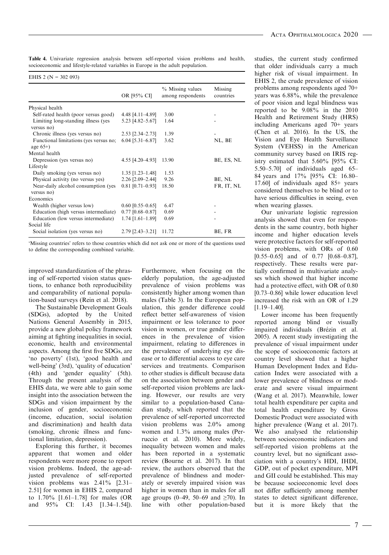Table 4. Univariate regression analysis between self-reported vision problems and health, socioeconomic and lifestyle-related variables in Europe in the adult population.

| EHIS 2 ( $N = 302093$ )                               |                          |                                       |                      |
|-------------------------------------------------------|--------------------------|---------------------------------------|----------------------|
|                                                       | OR [95% CI]              | % Missing values<br>among respondents | Missing<br>countries |
| Physical health                                       |                          |                                       |                      |
| Self-rated health (poor versus good)                  | 4.48 [4.11-4.89]         | 3.00                                  |                      |
| Limiting long-standing illness (yes<br>versus no)     | 5.23 [4.82–5.67]         | 1.64                                  |                      |
| Chronic illness (yes versus no)                       | $2.53$ [ $2.34 - 2.73$ ] | 1.39                                  |                      |
| Functional limitations (yes versus no;<br>age $65+$ ) | $6.04$ [5.31-6.87]       | 3.62                                  | NL, BE               |
| Mental health                                         |                          |                                       |                      |
| Depression (yes versus no)                            | $4.55$ [ $4.20 - 4.93$ ] | 13.90                                 | BE, ES, NL           |
| Lifestyle                                             |                          |                                       |                      |
| Daily smoking (yes versus no)                         | $1.35$ [1.23–1.48]       | 1.53                                  |                      |
| Physical activity (no versus yes)                     | 2.26 [2.09-2.44]         | 9.26                                  | BE, NL               |
| Near-daily alcohol consumption (yes<br>versus no)     | $0.81$ [0.71-0.93]       | 18.50                                 | FR, IT, NL           |
| Economics                                             |                          |                                       |                      |
| Wealth (higher versus low)                            | $0.60$ [0.55–0.65]       | 6.47                                  |                      |
| Education (high versus intermediate)                  | $0.77$ [0.68-0.87]       | 0.69                                  |                      |
| Education (low versus intermediate)<br>Social life    | $1.74$ [1.61-1.89]       | 0.69                                  |                      |
| Social isolation (yes versus no)                      | $2.79$ [ $2.43 - 3.21$ ] | 11.72                                 | BE, FR               |

'Missing countries' refers to those countries which did not ask one or more of the questions used to define the corresponding combined variable.

improved standardization of the phrasing of self-reported vision status questions, to enhance both reproducibility and comparability of national population-based surveys (Rein et al. 2018).

The Sustainable Development Goals (SDGs), adopted by the United Nations General Assembly in 2015, provide a new global policy framework aiming at fighting inequalities in social, economic, health and environmental aspects. Among the first five SDGs, are 'no poverty' (1st), 'good health and well-being' (3rd), 'quality of education' (4th) and 'gender equality' (5th). Through the present analysis of the EHIS data, we were able to gain some insight into the association between the SDGs and vision impairment by the inclusion of gender, socioeconomic (income, education, social isolation and discrimination) and health data (smoking, chronic illness and functional limitation, depression).

Exploring this further, it becomes apparent that women and older respondents were more prone to report vision problems. Indeed, the age-adjusted prevalence of self-reported vision problems was 2.41% [2.31– 2.51] for women in EHIS 2, compared to 1.70% [1.61–1.78] for males (OR and 95% CI: 1.43 [1.34–1.54]).

Furthermore, when focusing on the elderly population, the age-adjusted prevalence of vision problems was consistently higher among women than males (Table 3). In the European population, this gender difference could reflect better self-awareness of vision impairment or less tolerance to poor vision in women, or true gender differences in the prevalence of vision impairment, relating to differences in the prevalence of underlying eye disease or to differential access to eye care services and treatments. Comparison to other studies is difficult because data on the association between gender and self-reported vision problems are lacking. However, our results are very similar to a population-based Canadian study, which reported that the prevalence of self-reported uncorrected vision problems was 2.0% among women and 1.3% among males (Perruccio et al. 2010). More widely, inequality between women and males has been reported in a systematic review (Bourne et al. 2017). In that review, the authors observed that the prevalence of blindness and moderately or severely impaired vision was higher in women than in males for all age groups (0–49, 50–69 and  $\geq 70$ ). In line with other population-based

studies, the current study confirmed that older individuals carry a much higher risk of visual impairment. In EHIS 2, the crude prevalence of vision problems among respondents aged 70+ years was 6.88%, while the prevalence of poor vision and legal blindness was reported to be 9.08% in the 2010 Health and Retirement Study (HRS) including Americans aged 70+ years (Chen et al. 2016). In the US, the Vision and Eye Health Surveillance System (VEHSS) in the American community survey based on IRIS registry estimated that 5.60% [95% CI: 5.50–5.70] of individuals aged 65– 84 years and 17% [95% CI: 16.80– 17.60] of individuals aged 85+ years considered themselves to be blind or to have serious difficulties in seeing, even when wearing glasses.

Our univariate logistic regression analysis showed that even for respondents in the same country, both higher income and higher education levels were protective factors for self-reported vision problems, with ORs of 0.60 [0.55–0.65] and of 0.77 [0.68–0.87], respectively. These results were partially confirmed in multivariate analyses which showed that higher income had a protective effect, with OR of 0.80 [0.73–0.86] while lower education level increased the risk with an OR of 1.29 [1.19–1.40].

Lower income has been frequently reported among blind or visually impaired individuals (Brézin et al. 2005). A recent study investigating the prevalence of visual impairment under the scope of socioeconomic factors at country level showed that a higher Human Development Index and Education Index were associated with a lower prevalence of blindness or moderate and severe visual impairment (Wang et al. 2017). Meanwhile, lower total health expenditure per capita and total health expenditure by Gross Domestic Product were associated with higher prevalence (Wang et al. 2017). We also analysed the relationship between socioeconomic indicators and self-reported vision problems at the country level, but no significant association with a country's HDI, IHDI, GDP, out of pocket expenditure, MPI and GII could be established. This may be because socioeconomic level does not differ sufficiently among member states to detect significant difference, but it is more likely that the

- 7 -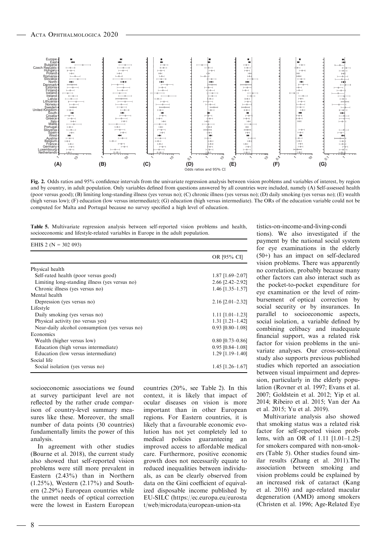$EHE 2 QI = 302.093$ 



Fig. 2. Odds ratios and 95% confidence intervals from the univariate regression analysis between vision problems and variables of interest, by region and by country, in adult population. Only variables defined from questions answered by all countries were included, namely (A) Self-assessed health (poor versus good); (B) limiting long-standing illness (yes versus no); (C) chronic illness (yes versus no); (D) daily smoking (yes versus no); (E) wealth (high versus low); (F) education (low versus intermediate); (G) education (high versus intermediate). The ORs of the education variable could not be computed for Malta and Portugal because no survey specified a high level of education.

Table 5. Multivariate regression analysis between self-reported vision problems and health, socioeconomic and lifestyle-related variables in Europe in the adult population.

| EHIS $2 (N = 302 093)$                         |                          |
|------------------------------------------------|--------------------------|
|                                                | OR [95% CI]              |
| Physical health                                |                          |
| Self-rated health (poor versus good)           | $1.87$ [1.69-2.07]       |
| Limiting long-standing illness (yes versus no) | $2.66$ [ $2.42 - 2.92$ ] |
| Chronic illness (yes versus no)                | $1.46$ [1.35-1.57]       |
| Mental health                                  |                          |
| Depression (yes versus no)                     | $2.16$ [ $2.01 - 2.32$ ] |
| Lifestyle                                      |                          |
| Daily smoking (yes versus no)                  | $1.11$ $[1.01-1.23]$     |
| Physical activity (no versus yes)              | $1.31$ $[1.21 - 1.42]$   |
| Near-daily alcohol consumption (yes versus no) | $0.93$ [0.80-1.08]       |
| Economics                                      |                          |
| Wealth (higher versus low)                     | $0.80$ [0.73-0.86]       |
| Education (high versus intermediate)           | $0.95$ [0.84–1.08]       |
| Education (low versus intermediate)            | $1.29$ [1.19-1.40]       |
| Social life                                    |                          |
| Social isolation (yes versus no)               | $1.45$ [1.26-1.67]       |

socioeconomic associations we found at survey participant level are not reflected by the rather crude comparison of country-level summary measures like these. Moreover, the small number of data points (30 countries) fundamentally limits the power of this analysis.

In agreement with other studies (Bourne et al. 2018), the current study also showed that self-reported vision problems were still more prevalent in Eastern (2.43%) than in Northern (1.25%), Western (2.17%) and Southern (2.29%) European countries while the unmet needs of optical correction were the lowest in Eastern European

countries (20%, see Table 2). In this context, it is likely that impact of ocular diseases on vision is more important than in other European regions. For Eastern countries, it is likely that a favourable economic evolution has not yet completely led to medical policies guaranteeing an improved access to affordable medical care. Furthermore, positive economic growth does not necessarily equate to reduced inequalities between individuals, as can be clearly observed from data on the Gini coefficient of equivalized disposable income published by EU-SILC [\(https://ec.europa.eu/eurosta](https://ec.europa.eu/eurostat/web/microdata/european-union-statistics-on-income-and-living-conditions) [t/web/microdata/european-union-sta](https://ec.europa.eu/eurostat/web/microdata/european-union-statistics-on-income-and-living-conditions)

[tistics-on-income-and-living-condi](https://ec.europa.eu/eurostat/web/microdata/european-union-statistics-on-income-and-living-conditions) [tions\)](https://ec.europa.eu/eurostat/web/microdata/european-union-statistics-on-income-and-living-conditions). We also investigated if the payment by the national social system for eye examinations in the elderly (50+) has an impact on self-declared vision problems. There was apparently no correlation, probably because many other factors can also interact such as the pocket-to-pocket expenditure for eye examination or the level of reimbursement of optical correction by social security or by insurances. In parallel to socioeconomic aspects, social isolation, a variable defined by combining celibacy and inadequate financial support, was a related risk factor for vision problems in the univariate analyses. Our cross-sectional study also supports previous published studies which reported an association between visual impairment and depression, particularly in the elderly population (Rovner et al. 1997; Evans et al. 2007; Goldstein et al. 2012; Yip et al. 2014; Ribeiro et al. 2015; Van der Aa et al. 2015; Yu et al. 2019).

Multivariate analysis also showed that smoking status was a related risk factor for self-reported vision problems, with an OR of 1.11 [1.01–1.25] for smokers compared with non-smokers (Table 5). Other studies found similar results (Zhang et al. 2011).The association between smoking and vision problems could be explained by an increased risk of cataract (Kang et al. 2016) and age-related macular degeneration (AMD) among smokers (Christen et al. 1996; Age-Related Eye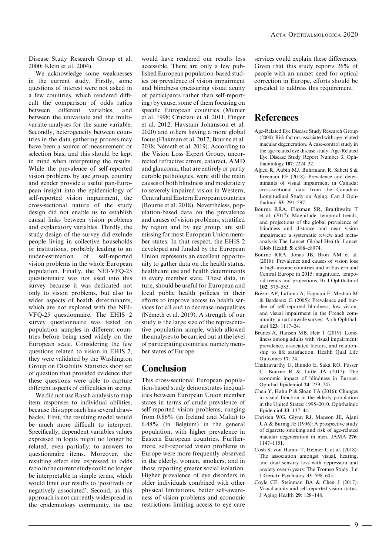Disease Study Research Group et al. 2000; Klein et al. 2004).

We acknowledge some weaknesses in the current study. Firstly, some questions of interest were not asked in a few countries, which rendered difficult the comparison of odds ratios between different variables, and between the univariate and the multivariate analyses for the same variable. Secondly, heterogeneity between countries in the data gathering process may have been a source of measurement or selection bias, and this should be kept in mind when interpreting the results. While the prevalence of self-reported vision problems by age group, country and gender provide a useful pan-European insight into the epidemiology of self-reported vision impairment, the cross-sectional nature of the study design did not enable us to establish causal links between vision problems and explanatory variables. Thirdly, the study design of the survey did exclude people living in collective households or institutions, probably leading to an under-estimation of self-reported vision problems in the whole European population. Finally, the NEI-VFQ-25 questionnaire was not used into this survey because it was dedicated not only to vision problems, but also to wider aspects of health determinants, which are not explored with the NEI-VFQ-25 questionnaire. The EHIS 2 survey questionnaire was tested on population samples in different countries before being used widely on the European scale. Considering the few questions related to vision in EHIS 2, they were validated by the Washington Group on Disability Statistics short set of question that provided evidence that these questions were able to capture different aspects of difficulties in seeing.

We did not use Rasch analysis to map item responses to individual abilities, because this approach has several drawbacks. First, the resulting model would be much more difficult to interpret. Specifically, dependent variables values expressed in logits might no longer be related, even partially, to answers to questionnaire items. Moreover, the resulting effect size expressed in odds ratio in the current study could no longer be interpretable in simple terms, which would limit our results to 'positively or negatively associated'. Second, as this approach is not currently widespread in the epidemiology community, its use

would have rendered our results less accessible. There are only a few published European population-based studies on prevalence of vision impairment and blindness (measuring visual acuity of participants rather than self-reporting) by cause, some of them focusing on specific European countries (Munier et al. 1998; Cruciani et al. 2011; Finger et al. 2012; Havstam Johansson et al. 2020) and others having a more global focus (Flaxman et al. 2017; Bourne et al. 2018; Németh et al. 2019). According to the Vision Loss Expert Group, uncorrected refractive errors, cataract, AMD and glaucoma, that are entirely or partly curable pathologies, were still the main causes of both blindness and moderately to severely impaired vision in Western, Central and Eastern European countries (Bourne et al. 2018). Nevertheless, population-based data on the prevalence and causes of vision problems, stratified by region and by age group, are still missing for most European Union member states. In that respect, the EHIS 2 developed and funded by the European Union represents an excellent opportunity to gather data on the health status, healthcare use and health determinants in every member state. These data, in turn, should be useful for European and local public health policies in their efforts to improve access to health services for all and to decrease inequalities (Németh et al. 2019). A strength of our study is the large size of the representative population sample, which allowed the analyses to be carried out at the level of participating countries, namely member states of Europe.

### Conclusion

This cross-sectional European population-based study demonstrates inequalities between European Union member states in terms of crude prevalence of self-reported vision problems, ranging from 0.86% (in Ireland and Malta) to 6.48% (in Belgium) in the general population, with higher prevalence in Eastern European countries. Furthermore, self-reported vision problems in Europe were more frequently observed in the elderly, women, smokers, and in those reporting greater social isolation. Higher prevalence of eye disorders in older individuals combined with other physical limitations, better self-awareness of vision problems and economic restrictions limiting access to eye care services could explain these differences. Given that this study reports 26% of people with an unmet need for optical correction in Europe, efforts should be upscaled to address this requirement.

### References

- Age-Related Eye Disease Study Research Group (2000): Risk factors associated with age-related macular degeneration. A case-control study in the age-related eye disease study: Age-Related Eye Disease Study Report Number 3. Ophthalmology 107: 2224–32.
- Aljied R, Aubin MJ, Buhrmann R, Sabeti S & Freeman EE (2018): Prevalence and determinants of visual impairment in Canada: cross-sectional data from the Canadian Longitudinal Study on Aging. Can J Ophthalmol 53: 291–297.
- Bourne RRA, Flaxman SR, Braithwaite T et al. (2017): Magnitude, temporal trends, and projections of the global prevalence of blindness and distance and near vision impairment: a systematic review and metaanalysis The Lancet Global Health. Lancet Glob Health 5: e888–e8974.
- Bourne RRA, Jonas JB, Bron AM et al. (2018): Prevalence and causes of vision loss in high-income countries and in Eastern and Central Europe in 2015: magnitude, temporal trends and projections. Br J Ophthalmol 102: 575–585.
- Brézin AP, Lafuma A, Fagnani F, Mesbah M & Berdeaux G (2005): Prevalence and burden of self-reported blindness, low vision, and visual impairment in the French community: a nationwide survey. Arch Ophthalmol 123: 1117–24.
- Brunes A, Hansen MB, Heir T (2019): Loneliness among adults with visual impairment: prevalence, associated factors, and relationship to life satisfaction. Health Qual Life Outcomes 17: 24.
- Chakravarthy U, Biundo E, Saka RO, Fasser C, Bourne R & Little JA (2017): The economic impact of blindness in Europe. Ophthal Epidemiol 24: 239–247.
- Chen Y, Hahn P & Sloan FA (2016): Changes in visual function in the elderly population in the United States: 1995–2010. Ophthalmic Epidemiol 23: 137–44.
- Christen WG, Glynn RJ, Manson JE, Ajani UA & Buring JE (1996): A prospective study of cigarette smoking and risk of age-related macular degeneration in men. JAMA 276: 1147–1151.
- Cosh S, von Hanno T, Helmer C et al. (2018): The association amongst visual, hearing, and dual sensory loss with depression and anxiety over 6 years: The Tromsø Study. Int J Geriatr Psychiatry 33: 598–605.
- Coyle CE, Steinman BA & Chen J (2017): Visual acuity and self-reported vision status. J Aging Health 29: 128–148.